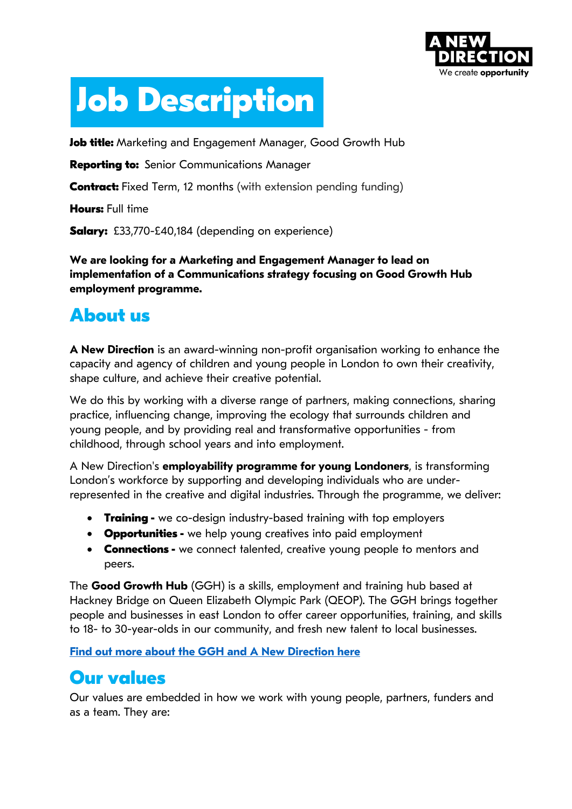

# **Job Description**

**Job title:** Marketing and Engagement Manager, Good Growth Hub

**Reporting to:** Senior Communications Manager

**Contract:** Fixed Term, 12 months (with extension pending funding)

**Hours: Full time** 

**Salary:** £33,770-£40,184 (depending on experience)

**We are looking for a Marketing and Engagement Manager to lead on implementation of a Communications strategy focusing on Good Growth Hub employment programme.** 

## **About us**

**A New Direction** is an award-winning non-profit organisation working to enhance the capacity and agency of children and young people in London to own their creativity, shape culture, and achieve their creative potential.

We do this by working with a diverse range of partners, making connections, sharing practice, influencing change, improving the ecology that surrounds children and young people, and by providing real and transformative opportunities - from childhood, through school years and into employment.

A New Direction's **employability programme for young Londoners**, is transforming London's workforce by supporting and developing individuals who are underrepresented in the creative and digital industries. Through the programme, we deliver:

- **Training -** we co-design industry-based training with top employers
- **Opportunities -** we help young creatives into paid employment
- **Connections -** we connect talented, creative young people to mentors and peers.

The **Good Growth Hub** (GGH) is a skills, employment and training hub based at Hackney Bridge on Queen Elizabeth Olympic Park (QEOP). The GGH brings together people and businesses in east London to offer career opportunities, training, and skills to 18- to 30-year-olds in our community, and fresh new talent to local businesses.

**Find out more about the GGH and A New Direction here**

## **Our values**

Our values are embedded in how we work with young people, partners, funders and as a team. They are: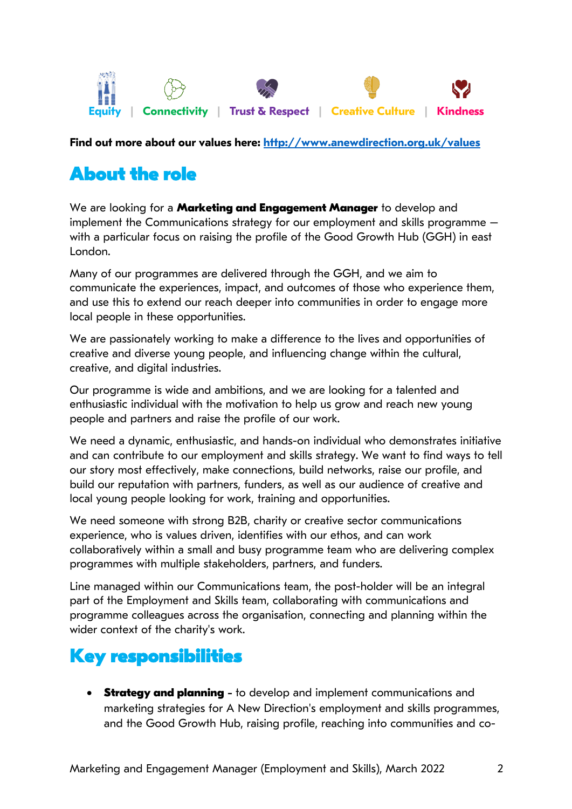

**Find out more about our values here: http://www.anewdirection.org.uk/values**

## **About the role**

We are looking for a **Marketing and Engagement Manager** to develop and implement the Communications strategy for our employment and skills programme – with a particular focus on raising the profile of the Good Growth Hub (GGH) in east London.

Many of our programmes are delivered through the GGH, and we aim to communicate the experiences, impact, and outcomes of those who experience them, and use this to extend our reach deeper into communities in order to engage more local people in these opportunities.

We are passionately working to make a difference to the lives and opportunities of creative and diverse young people, and influencing change within the cultural, creative, and digital industries.

Our programme is wide and ambitions, and we are looking for a talented and enthusiastic individual with the motivation to help us grow and reach new young people and partners and raise the profile of our work.

We need a dynamic, enthusiastic, and hands-on individual who demonstrates initiative and can contribute to our employment and skills strategy. We want to find ways to tell our story most effectively, make connections, build networks, raise our profile, and build our reputation with partners, funders, as well as our audience of creative and local young people looking for work, training and opportunities.

We need someone with strong B2B, charity or creative sector communications experience, who is values driven, identifies with our ethos, and can work collaboratively within a small and busy programme team who are delivering complex programmes with multiple stakeholders, partners, and funders.

Line managed within our Communications team, the post-holder will be an integral part of the Employment and Skills team, collaborating with communications and programme colleagues across the organisation, connecting and planning within the wider context of the charity's work.

### **Key responsibilities**

**Strategy and planning** - to develop and implement communications and marketing strategies for A New Direction's employment and skills programmes, and the Good Growth Hub, raising profile, reaching into communities and co-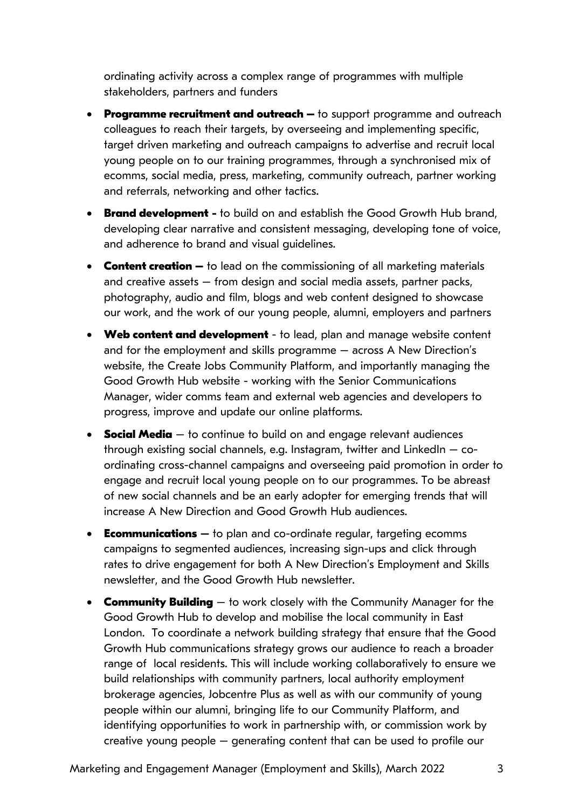ordinating activity across a complex range of programmes with multiple stakeholders, partners and funders

- **Programme recruitment and outreach –** to support programme and outreach colleagues to reach their targets, by overseeing and implementing specific, target driven marketing and outreach campaigns to advertise and recruit local young people on to our training programmes, through a synchronised mix of ecomms, social media, press, marketing, community outreach, partner working and referrals, networking and other tactics.
- **Brand development** to build on and establish the Good Growth Hub brand, developing clear narrative and consistent messaging, developing tone of voice, and adherence to brand and visual guidelines.
- **Content creation –** to lead on the commissioning of all marketing materials and creative assets – from design and social media assets, partner packs, photography, audio and film, blogs and web content designed to showcase our work, and the work of our young people, alumni, employers and partners
- **Web content and development** to lead, plan and manage website content and for the employment and skills programme – across A New Direction's website, the Create Jobs Community Platform, and importantly managing the Good Growth Hub website - working with the Senior Communications Manager, wider comms team and external web agencies and developers to progress, improve and update our online platforms.
- **Social Media** to continue to build on and engage relevant audiences through existing social channels, e.g. Instagram, twitter and LinkedIn  $-$  coordinating cross-channel campaigns and overseeing paid promotion in order to engage and recruit local young people on to our programmes. To be abreast of new social channels and be an early adopter for emerging trends that will increase A New Direction and Good Growth Hub audiences.
- **Ecommunications** to plan and co-ordinate regular, targeting ecomms campaigns to segmented audiences, increasing sign-ups and click through rates to drive engagement for both A New Direction's Employment and Skills newsletter, and the Good Growth Hub newsletter.
- **Community Building** to work closely with the Community Manager for the Good Growth Hub to develop and mobilise the local community in East London. To coordinate a network building strategy that ensure that the Good Growth Hub communications strategy grows our audience to reach a broader range of local residents. This will include working collaboratively to ensure we build relationships with community partners, local authority employment brokerage agencies, Jobcentre Plus as well as with our community of young people within our alumni, bringing life to our Community Platform, and identifying opportunities to work in partnership with, or commission work by creative young people – generating content that can be used to profile our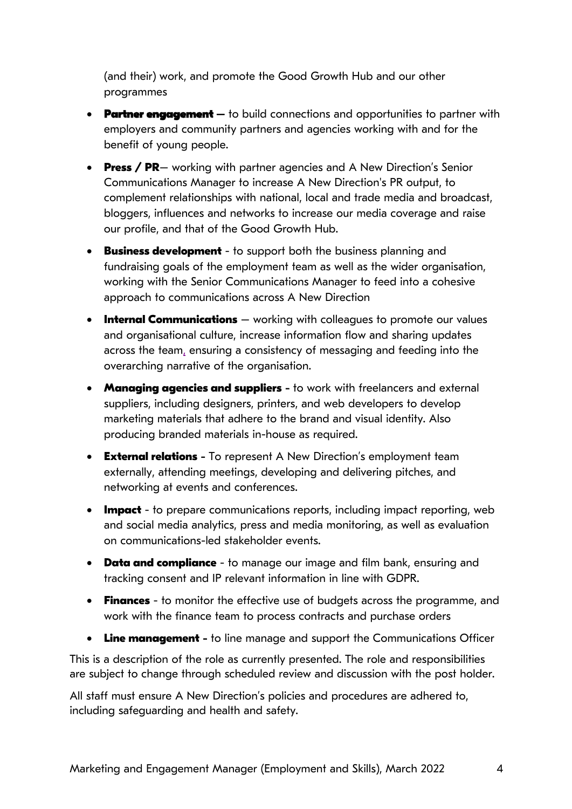(and their) work, and promote the Good Growth Hub and our other programmes

- **Partner engagement**  to build connections and opportunities to partner with employers and community partners and agencies working with and for the benefit of young people.
- **Press / PR** working with partner agencies and A New Direction's Senior Communications Manager to increase A New Direction's PR output, to complement relationships with national, local and trade media and broadcast, bloggers, influences and networks to increase our media coverage and raise our profile, and that of the Good Growth Hub.
- **Business development** to support both the business planning and fundraising goals of the employment team as well as the wider organisation, working with the Senior Communications Manager to feed into a cohesive approach to communications across A New Direction
- **Internal Communications** working with colleagues to promote our values and organisational culture, increase information flow and sharing updates across the team, ensuring a consistency of messaging and feeding into the overarching narrative of the organisation.
- **Managing agencies and suppliers** to work with freelancers and external suppliers, including designers, printers, and web developers to develop marketing materials that adhere to the brand and visual identity. Also producing branded materials in-house as required.
- **External relations** To represent A New Direction's employment team externally, attending meetings, developing and delivering pitches, and networking at events and conferences.
- **Impact** to prepare communications reports, including impact reporting, web and social media analytics, press and media monitoring, as well as evaluation on communications-led stakeholder events.
- **Data and compliance** to manage our image and film bank, ensuring and tracking consent and IP relevant information in line with GDPR.
- **Finances** to monitor the effective use of budgets across the programme, and work with the finance team to process contracts and purchase orders
- **Line management** to line manage and support the Communications Officer

This is a description of the role as currently presented. The role and responsibilities are subject to change through scheduled review and discussion with the post holder.

All staff must ensure A New Direction's policies and procedures are adhered to, including safeguarding and health and safety.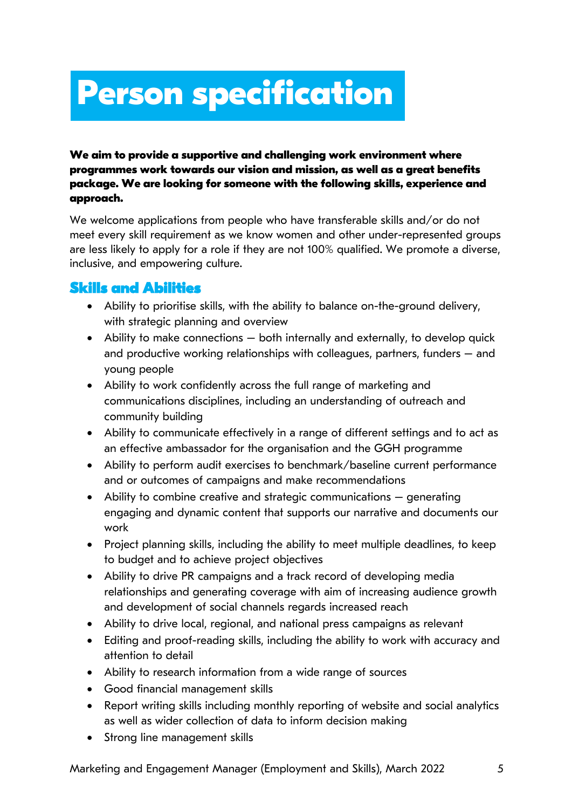## **Person specification**

#### **We aim to provide a supportive and challenging work environment where programmes work towards our vision and mission, as well as a great benefits package. We are looking for someone with the following skills, experience and approach.**

We welcome applications from people who have transferable skills and/or do not meet every skill requirement as we know women and other under-represented groups are less likely to apply for a role if they are not 100% qualified. We promote a diverse, inclusive, and empowering culture.

#### **Skills and Abilities**

- Ability to prioritise skills, with the ability to balance on-the-ground delivery, with strategic planning and overview
- Ability to make connections both internally and externally, to develop quick and productive working relationships with colleagues, partners, funders – and young people
- Ability to work confidently across the full range of marketing and communications disciplines, including an understanding of outreach and community building
- Ability to communicate effectively in a range of different settings and to act as an effective ambassador for the organisation and the GGH programme
- Ability to perform audit exercises to benchmark/baseline current performance and or outcomes of campaigns and make recommendations
- Ability to combine creative and strategic communications generating engaging and dynamic content that supports our narrative and documents our work
- Project planning skills, including the ability to meet multiple deadlines, to keep to budget and to achieve project objectives
- Ability to drive PR campaigns and a track record of developing media relationships and generating coverage with aim of increasing audience growth and development of social channels regards increased reach
- Ability to drive local, regional, and national press campaigns as relevant
- Editing and proof-reading skills, including the ability to work with accuracy and attention to detail
- Ability to research information from a wide range of sources
- Good financial management skills
- Report writing skills including monthly reporting of website and social analytics as well as wider collection of data to inform decision making
- Strong line management skills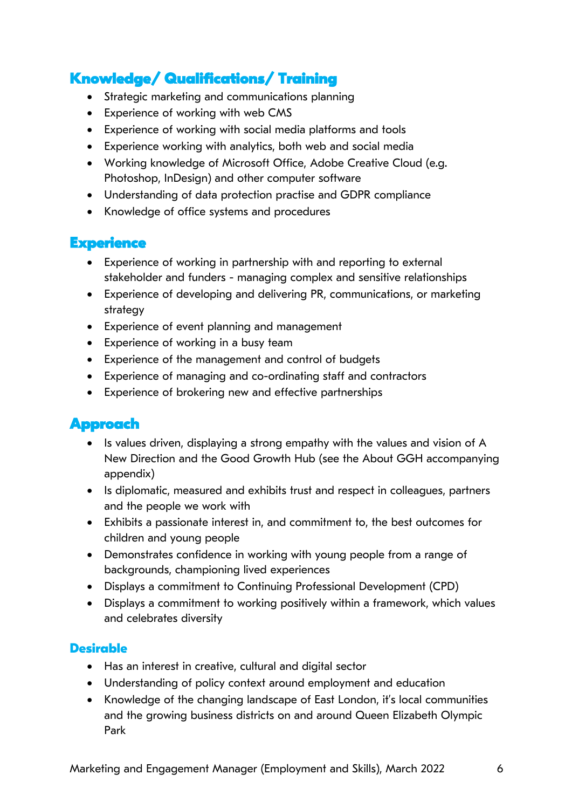#### **Knowledge/ Qualifications/ Training**

- Strategic marketing and communications planning
- Experience of working with web CMS
- Experience of working with social media platforms and tools
- Experience working with analytics, both web and social media
- Working knowledge of Microsoft Office, Adobe Creative Cloud (e.g. Photoshop, InDesign) and other computer software
- Understanding of data protection practise and GDPR compliance
- Knowledge of office systems and procedures

#### **Experience**

- Experience of working in partnership with and reporting to external stakeholder and funders - managing complex and sensitive relationships
- Experience of developing and delivering PR, communications, or marketing strategy
- Experience of event planning and management
- Experience of working in a busy team
- Experience of the management and control of budgets
- Experience of managing and co-ordinating staff and contractors
- Experience of brokering new and effective partnerships

#### **Approach**

- Is values driven, displaying a strong empathy with the values and vision of A New Direction and the Good Growth Hub (see the About GGH accompanying appendix)
- Is diplomatic, measured and exhibits trust and respect in colleagues, partners and the people we work with
- Exhibits a passionate interest in, and commitment to, the best outcomes for children and young people
- Demonstrates confidence in working with young people from a range of backgrounds, championing lived experiences
- Displays a commitment to Continuing Professional Development (CPD)
- Displays a commitment to working positively within a framework, which values and celebrates diversity

#### **Desirable**

- Has an interest in creative, cultural and digital sector
- Understanding of policy context around employment and education
- Knowledge of the changing landscape of East London, it's local communities and the growing business districts on and around Queen Elizabeth Olympic Park